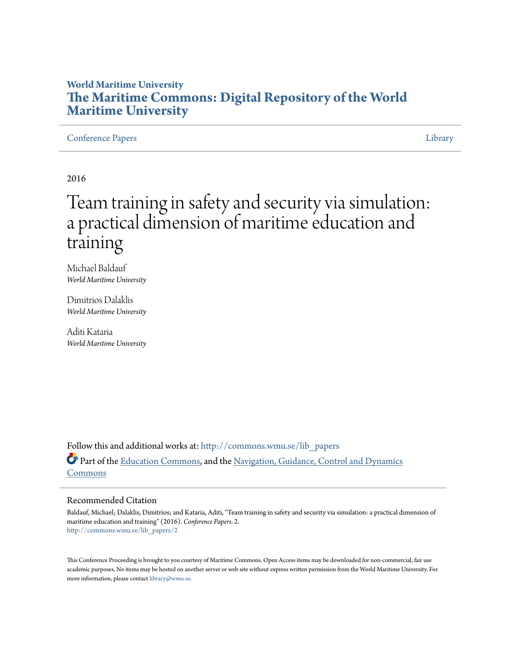## **World Maritime University [The Maritime Commons: Digital Repository of the World](http://commons.wmu.se?utm_source=commons.wmu.se%2Flib_papers%2F2&utm_medium=PDF&utm_campaign=PDFCoverPages) [Maritime University](http://commons.wmu.se?utm_source=commons.wmu.se%2Flib_papers%2F2&utm_medium=PDF&utm_campaign=PDFCoverPages)**

[Conference Papers](http://commons.wmu.se/lib_papers?utm_source=commons.wmu.se%2Flib_papers%2F2&utm_medium=PDF&utm_campaign=PDFCoverPages) [Library](http://commons.wmu.se/library?utm_source=commons.wmu.se%2Flib_papers%2F2&utm_medium=PDF&utm_campaign=PDFCoverPages) Library Library Library Library Library Library Library Library Library Library Library

2016

# Team training in safety and security via simulation: a practical dimension of maritime education and training

Michael Baldauf *World Maritime University*

Dimitrios Dalaklis *World Maritime University*

Aditi Kataria *World Maritime University*

Follow this and additional works at: [http://commons.wmu.se/lib\\_papers](http://commons.wmu.se/lib_papers?utm_source=commons.wmu.se%2Flib_papers%2F2&utm_medium=PDF&utm_campaign=PDFCoverPages) Part of the [Education Commons](http://network.bepress.com/hgg/discipline/784?utm_source=commons.wmu.se%2Flib_papers%2F2&utm_medium=PDF&utm_campaign=PDFCoverPages), and the [Navigation, Guidance, Control and Dynamics](http://network.bepress.com/hgg/discipline/226?utm_source=commons.wmu.se%2Flib_papers%2F2&utm_medium=PDF&utm_campaign=PDFCoverPages) [Commons](http://network.bepress.com/hgg/discipline/226?utm_source=commons.wmu.se%2Flib_papers%2F2&utm_medium=PDF&utm_campaign=PDFCoverPages)

#### Recommended Citation

Baldauf, Michael; Dalaklis, Dimitrios; and Kataria, Aditi, "Team training in safety and security via simulation: a practical dimension of maritime education and training" (2016). *Conference Papers*. 2. [http://commons.wmu.se/lib\\_papers/2](http://commons.wmu.se/lib_papers/2?utm_source=commons.wmu.se%2Flib_papers%2F2&utm_medium=PDF&utm_campaign=PDFCoverPages)

This Conference Proceeding is brought to you courtesy of Maritime Commons. Open Access items may be downloaded for non-commercial, fair use academic purposes. No items may be hosted on another server or web site without express written permission from the World Maritime University. For more information, please contact [library@wmu.se](mailto:library@wmu.edu).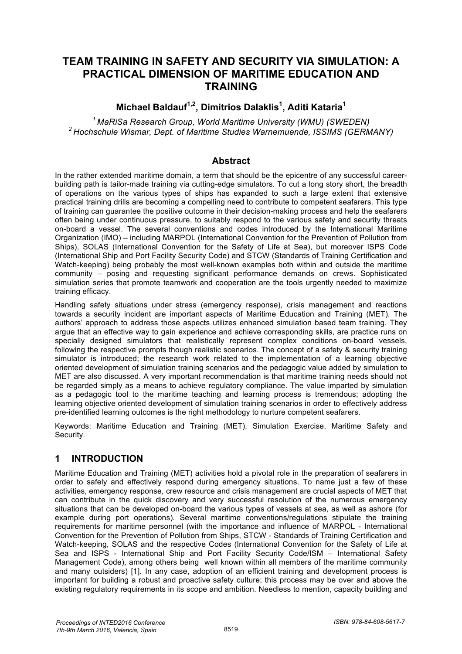# **TEAM TRAINING IN SAFETY AND SECURITY VIA SIMULATION: A PRACTICAL DIMENSION OF MARITIME EDUCATION AND TRAINING**

## **Michael Baldauf1,2, Dimitrios Dalaklis1 , Aditi Kataria1**

*1 MaRiSa Research Group, World Maritime University (WMU) (SWEDEN) 2 Hochschule Wismar, Dept. of Maritime Studies Warnemuende, ISSIMS (GERMANY)* 

#### **Abstract**

In the rather extended maritime domain, a term that should be the epicentre of any successful careerbuilding path is tailor-made training via cutting-edge simulators. To cut a long story short, the breadth of operations on the various types of ships has expanded to such a large extent that extensive practical training drills are becoming a compelling need to contribute to competent seafarers. This type of training can guarantee the positive outcome in their decision-making process and help the seafarers often being under continuous pressure, to suitably respond to the various safety and security threats on-board a vessel. The several conventions and codes introduced by the International Maritime Organization (IMO) – including MARPOL (International Convention for the Prevention of Pollution from Ships), SOLAS (International Convention for the Safety of Life at Sea), but moreover ISPS Code (International Ship and Port Facility Security Code) and STCW (Standards of Training Certification and Watch-keeping) being probably the most well-known examples both within and outside the maritime community – posing and requesting significant performance demands on crews. Sophisticated simulation series that promote teamwork and cooperation are the tools urgently needed to maximize training efficacy.

Handling safety situations under stress (emergency response), crisis management and reactions towards a security incident are important aspects of Maritime Education and Training (MET). The authors' approach to address those aspects utilizes enhanced simulation based team training. They argue that an effective way to gain experience and achieve corresponding skills, are practice runs on specially designed simulators that realistically represent complex conditions on-board vessels, following the respective prompts though realistic scenarios. The concept of a safety & security training simulator is introduced; the research work related to the implementation of a learning objective oriented development of simulation training scenarios and the pedagogic value added by simulation to MET are also discussed. A very important recommendation is that maritime training needs should not be regarded simply as a means to achieve regulatory compliance. The value imparted by simulation as a pedagogic tool to the maritime teaching and learning process is tremendous; adopting the learning objective oriented development of simulation training scenarios in order to effectively address pre-identified learning outcomes is the right methodology to nurture competent seafarers.

Keywords: Maritime Education and Training (MET), Simulation Exercise, Maritime Safety and Security.

#### **1 INTRODUCTION**

Maritime Education and Training (MET) activities hold a pivotal role in the preparation of seafarers in order to safely and effectively respond during emergency situations. To name just a few of these activities, emergency response, crew resource and crisis management are crucial aspects of MET that can contribute in the quick discovery and very successful resolution of the numerous emergency situations that can be developed on-board the various types of vessels at sea, as well as ashore (for example during port operations). Several maritime conventions/regulations stipulate the training requirements for maritime personnel (with the importance and influence of MARPOL - International Convention for the Prevention of Pollution from Ships, STCW - Standards of Training Certification and Watch-keeping, SOLAS and the respective Codes (International Convention for the Safety of Life at Sea and ISPS - International Ship and Port Facility Security Code/ISM – International Safety Management Code), among others being well known within all members of the maritime community and many outsiders) [1]. In any case, adoption of an efficient training and development process is important for building a robust and proactive safety culture; this process may be over and above the existing regulatory requirements in its scope and ambition. Needless to mention, capacity building and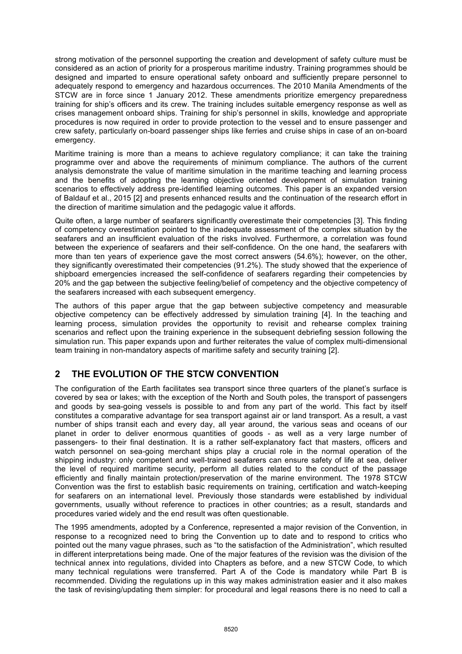strong motivation of the personnel supporting the creation and development of safety culture must be considered as an action of priority for a prosperous maritime industry. Training programmes should be designed and imparted to ensure operational safety onboard and sufficiently prepare personnel to adequately respond to emergency and hazardous occurrences. The 2010 Manila Amendments of the STCW are in force since 1 January 2012. These amendments prioritize emergency preparedness training for ship's officers and its crew. The training includes suitable emergency response as well as crises management onboard ships. Training for ship's personnel in skills, knowledge and appropriate procedures is now required in order to provide protection to the vessel and to ensure passenger and crew safety, particularly on-board passenger ships like ferries and cruise ships in case of an on-board emergency.

Maritime training is more than a means to achieve regulatory compliance; it can take the training programme over and above the requirements of minimum compliance. The authors of the current analysis demonstrate the value of maritime simulation in the maritime teaching and learning process and the benefits of adopting the learning objective oriented development of simulation training scenarios to effectively address pre-identified learning outcomes. This paper is an expanded version of Baldauf et al., 2015 [2] and presents enhanced results and the continuation of the research effort in the direction of maritime simulation and the pedagogic value it affords.

Quite often, a large number of seafarers significantly overestimate their competencies [3]. This finding of competency overestimation pointed to the inadequate assessment of the complex situation by the seafarers and an insufficient evaluation of the risks involved. Furthermore, a correlation was found between the experience of seafarers and their self-confidence. On the one hand, the seafarers with more than ten years of experience gave the most correct answers (54.6%); however, on the other, they significantly overestimated their competencies (91.2%). The study showed that the experience of shipboard emergencies increased the self-confidence of seafarers regarding their competencies by 20% and the gap between the subjective feeling/belief of competency and the objective competency of the seafarers increased with each subsequent emergency.

The authors of this paper argue that the gap between subjective competency and measurable objective competency can be effectively addressed by simulation training [4]. In the teaching and learning process, simulation provides the opportunity to revisit and rehearse complex training scenarios and reflect upon the training experience in the subsequent debriefing session following the simulation run. This paper expands upon and further reiterates the value of complex multi-dimensional team training in non-mandatory aspects of maritime safety and security training [2].

## **2 THE EVOLUTION OF THE STCW CONVENTION**

The configuration of the Earth facilitates sea transport since three quarters of the planet's surface is covered by sea or lakes; with the exception of the North and South poles, the transport of passengers and goods by sea-going vessels is possible to and from any part of the world. This fact by itself constitutes a comparative advantage for sea transport against air or land transport. As a result, a vast number of ships transit each and every day, all year around, the various seas and oceans of our planet in order to deliver enormous quantities of goods - as well as a very large number of passengers- to their final destination. It is a rather self-explanatory fact that masters, officers and watch personnel on sea-going merchant ships play a crucial role in the normal operation of the shipping industry: only competent and well-trained seafarers can ensure safety of life at sea, deliver the level of required maritime security, perform all duties related to the conduct of the passage efficiently and finally maintain protection/preservation of the marine environment. The 1978 STCW Convention was the first to establish basic requirements on training, certification and watch-keeping for seafarers on an international level. Previously those standards were established by individual governments, usually without reference to practices in other countries; as a result, standards and procedures varied widely and the end result was often questionable.

The 1995 amendments, adopted by a Conference, represented a major revision of the Convention, in response to a recognized need to bring the Convention up to date and to respond to critics who pointed out the many vague phrases, such as "to the satisfaction of the Administration", which resulted in different interpretations being made. One of the major features of the revision was the division of the technical annex into regulations, divided into Chapters as before, and a new STCW Code, to which many technical regulations were transferred. Part A of the Code is mandatory while Part B is recommended. Dividing the regulations up in this way makes administration easier and it also makes the task of revising/updating them simpler: for procedural and legal reasons there is no need to call a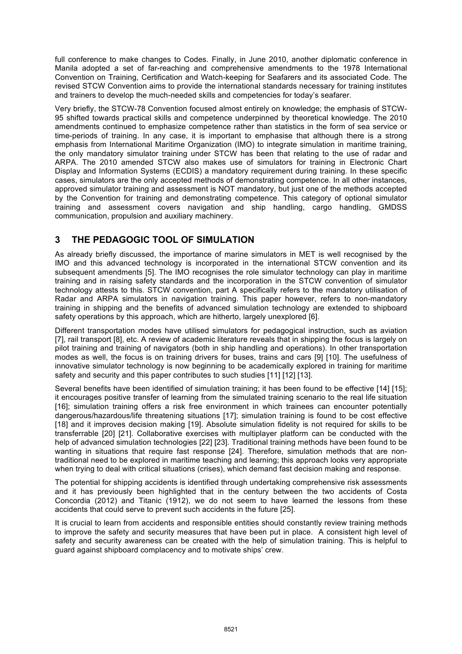full conference to make changes to Codes. Finally, in June 2010, another diplomatic conference in Manila adopted a set of far-reaching and comprehensive amendments to the 1978 International Convention on Training, Certification and Watch-keeping for Seafarers and its associated Code. The revised STCW Convention aims to provide the international standards necessary for training institutes and trainers to develop the much-needed skills and competencies for today's seafarer.

Very briefly, the STCW-78 Convention focused almost entirely on knowledge; the emphasis of STCW-95 shifted towards practical skills and competence underpinned by theoretical knowledge. The 2010 amendments continued to emphasize competence rather than statistics in the form of sea service or time-periods of training. In any case, it is important to emphasise that although there is a strong emphasis from International Maritime Organization (IMO) to integrate simulation in maritime training, the only mandatory simulator training under STCW has been that relating to the use of radar and ARPA. The 2010 amended STCW also makes use of simulators for training in Electronic Chart Display and Information Systems (ECDIS) a mandatory requirement during training. In these specific cases, simulators are the only accepted methods of demonstrating competence. In all other instances, approved simulator training and assessment is NOT mandatory, but just one of the methods accepted by the Convention for training and demonstrating competence. This category of optional simulator training and assessment covers navigation and ship handling, cargo handling, GMDSS communication, propulsion and auxiliary machinery.

#### **3 THE PEDAGOGIC TOOL OF SIMULATION**

As already briefly discussed, the importance of marine simulators in MET is well recognised by the IMO and this advanced technology is incorporated in the international STCW convention and its subsequent amendments [5]. The IMO recognises the role simulator technology can play in maritime training and in raising safety standards and the incorporation in the STCW convention of simulator technology attests to this. STCW convention, part A specifically refers to the mandatory utilisation of Radar and ARPA simulators in navigation training. This paper however, refers to non-mandatory training in shipping and the benefits of advanced simulation technology are extended to shipboard safety operations by this approach, which are hitherto, largely unexplored [6].

Different transportation modes have utilised simulators for pedagogical instruction, such as aviation [7], rail transport [8], etc. A review of academic literature reveals that in shipping the focus is largely on pilot training and training of navigators (both in ship handling and operations). In other transportation modes as well, the focus is on training drivers for buses, trains and cars [9] [10]. The usefulness of innovative simulator technology is now beginning to be academically explored in training for maritime safety and security and this paper contributes to such studies [11] [12] [13].

Several benefits have been identified of simulation training; it has been found to be effective [14] [15]; it encourages positive transfer of learning from the simulated training scenario to the real life situation [16]; simulation training offers a risk free environment in which trainees can encounter potentially dangerous/hazardous/life threatening situations [17]; simulation training is found to be cost effective [18] and it improves decision making [19]. Absolute simulation fidelity is not required for skills to be transferrable [20] [21]. Collaborative exercises with multiplayer platform can be conducted with the help of advanced simulation technologies [22] [23]. Traditional training methods have been found to be wanting in situations that require fast response [24]. Therefore, simulation methods that are nontraditional need to be explored in maritime teaching and learning; this approach looks very appropriate when trying to deal with critical situations (crises), which demand fast decision making and response.

The potential for shipping accidents is identified through undertaking comprehensive risk assessments and it has previously been highlighted that in the century between the two accidents of Costa Concordia (2012) and Titanic (1912), we do not seem to have learned the lessons from these accidents that could serve to prevent such accidents in the future [25].

It is crucial to learn from accidents and responsible entities should constantly review training methods to improve the safety and security measures that have been put in place. A consistent high level of safety and security awareness can be created with the help of simulation training. This is helpful to guard against shipboard complacency and to motivate ships' crew.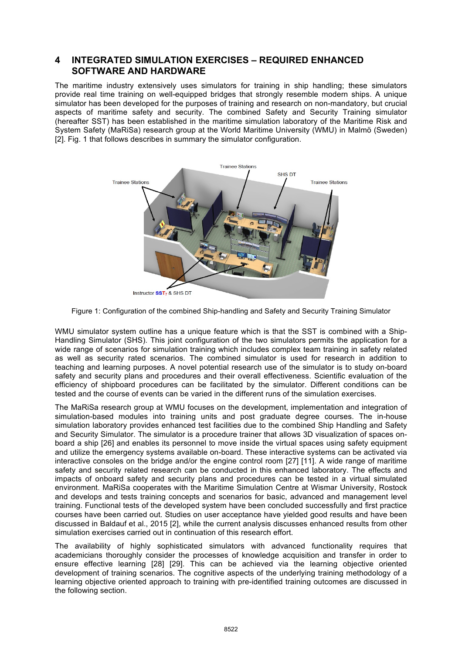#### **4 INTEGRATED SIMULATION EXERCISES – REQUIRED ENHANCED SOFTWARE AND HARDWARE**

The maritime industry extensively uses simulators for training in ship handling; these simulators provide real time training on well-equipped bridges that strongly resemble modern ships. A unique simulator has been developed for the purposes of training and research on non-mandatory, but crucial aspects of maritime safety and security. The combined Safety and Security Training simulator (hereafter SST) has been established in the maritime simulation laboratory of the Maritime Risk and System Safety (MaRiSa) research group at the World Maritime University (WMU) in Malmö (Sweden) [2]. Fig. 1 that follows describes in summary the simulator configuration.



Figure 1: Configuration of the combined Ship-handling and Safety and Security Training Simulator

WMU simulator system outline has a unique feature which is that the SST is combined with a Ship-Handling Simulator (SHS). This joint configuration of the two simulators permits the application for a wide range of scenarios for simulation training which includes complex team training in safety related as well as security rated scenarios. The combined simulator is used for research in addition to teaching and learning purposes. A novel potential research use of the simulator is to study on-board safety and security plans and procedures and their overall effectiveness. Scientific evaluation of the efficiency of shipboard procedures can be facilitated by the simulator. Different conditions can be tested and the course of events can be varied in the different runs of the simulation exercises.

The MaRiSa research group at WMU focuses on the development, implementation and integration of simulation-based modules into training units and post graduate degree courses. The in-house simulation laboratory provides enhanced test facilities due to the combined Ship Handling and Safety and Security Simulator. The simulator is a procedure trainer that allows 3D visualization of spaces onboard a ship [26] and enables its personnel to move inside the virtual spaces using safety equipment and utilize the emergency systems available on-board. These interactive systems can be activated via interactive consoles on the bridge and/or the engine control room [27] [11]. A wide range of maritime safety and security related research can be conducted in this enhanced laboratory. The effects and impacts of onboard safety and security plans and procedures can be tested in a virtual simulated environment. MaRiSa cooperates with the Maritime Simulation Centre at Wismar University, Rostock and develops and tests training concepts and scenarios for basic, advanced and management level training. Functional tests of the developed system have been concluded successfully and first practice courses have been carried out. Studies on user acceptance have yielded good results and have been discussed in Baldauf et al., 2015 [2], while the current analysis discusses enhanced results from other simulation exercises carried out in continuation of this research effort.

The availability of highly sophisticated simulators with advanced functionality requires that academicians thoroughly consider the processes of knowledge acquisition and transfer in order to ensure effective learning [28] [29]. This can be achieved via the learning objective oriented development of training scenarios. The cognitive aspects of the underlying training methodology of a learning objective oriented approach to training with pre-identified training outcomes are discussed in the following section.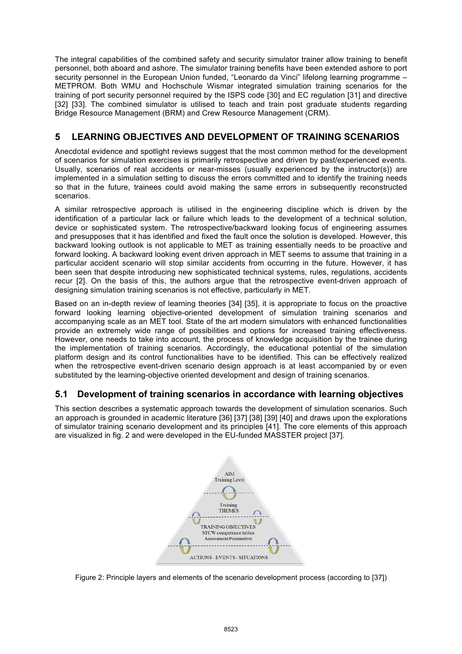The integral capabilities of the combined safety and security simulator trainer allow training to benefit personnel, both aboard and ashore. The simulator training benefits have been extended ashore to port security personnel in the European Union funded, "Leonardo da Vinci" lifelong learning programme – METPROM. Both WMU and Hochschule Wismar integrated simulation training scenarios for the training of port security personnel required by the ISPS code [30] and EC regulation [31] and directive [32] [33]. The combined simulator is utilised to teach and train post graduate students regarding Bridge Resource Management (BRM) and Crew Resource Management (CRM).

#### **5 LEARNING OBJECTIVES AND DEVELOPMENT OF TRAINING SCENARIOS**

Anecdotal evidence and spotlight reviews suggest that the most common method for the development of scenarios for simulation exercises is primarily retrospective and driven by past/experienced events. Usually, scenarios of real accidents or near-misses (usually experienced by the instructor(s)) are implemented in a simulation setting to discuss the errors committed and to identify the training needs so that in the future, trainees could avoid making the same errors in subsequently reconstructed scenarios.

A similar retrospective approach is utilised in the engineering discipline which is driven by the identification of a particular lack or failure which leads to the development of a technical solution, device or sophisticated system. The retrospective/backward looking focus of engineering assumes and presupposes that it has identified and fixed the fault once the solution is developed. However, this backward looking outlook is not applicable to MET as training essentially needs to be proactive and forward looking. A backward looking event driven approach in MET seems to assume that training in a particular accident scenario will stop similar accidents from occurring in the future. However, it has been seen that despite introducing new sophisticated technical systems, rules, regulations, accidents recur [2]. On the basis of this, the authors argue that the retrospective event-driven approach of designing simulation training scenarios is not effective, particularly in MET.

Based on an in-depth review of learning theories [34] [35], it is appropriate to focus on the proactive forward looking learning objective-oriented development of simulation training scenarios and accompanying scale as an MET tool. State of the art modern simulators with enhanced functionalities provide an extremely wide range of possibilities and options for increased training effectiveness. However, one needs to take into account, the process of knowledge acquisition by the trainee during the implementation of training scenarios. Accordingly, the educational potential of the simulation platform design and its control functionalities have to be identified. This can be effectively realized when the retrospective event-driven scenario design approach is at least accompanied by or even substituted by the learning-objective oriented development and design of training scenarios.

#### **5.1 Development of training scenarios in accordance with learning objectives**

This section describes a systematic approach towards the development of simulation scenarios. Such an approach is grounded in academic literature [36] [37] [38] [39] [40] and draws upon the explorations of simulator training scenario development and its principles [41]. The core elements of this approach are visualized in fig. 2 and were developed in the EU-funded MASSTER project [37].



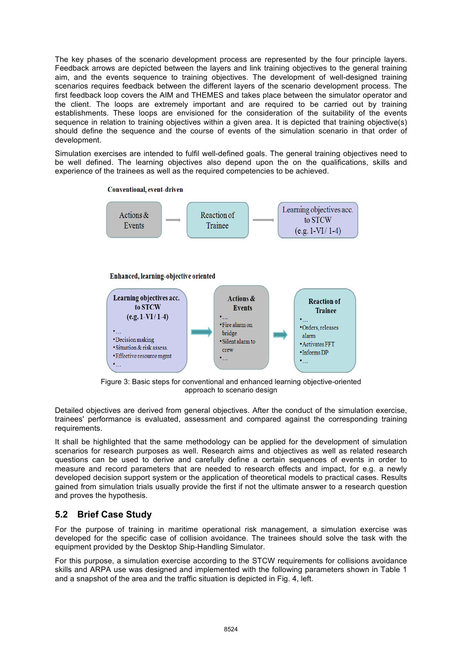The key phases of the scenario development process are represented by the four principle layers. Feedback arrows are depicted between the layers and link training objectives to the general training aim, and the events sequence to training objectives. The development of well-designed training scenarios requires feedback between the different layers of the scenario development process. The first feedback loop covers the AIM and THEMES and takes place between the simulator operator and the client. The loops are extremely important and are required to be carried out by training establishments. These loops are envisioned for the consideration of the suitability of the events sequence in relation to training objectives within a given area. It is depicted that training objective(s) should define the sequence and the course of events of the simulation scenario in that order of development.

Simulation exercises are intended to fulfil well-defined goals. The general training objectives need to be well defined. The learning objectives also depend upon the on the qualifications, skills and experience of the trainees as well as the required competencies to be achieved.



Figure 3: Basic steps for conventional and enhanced learning objective-oriented approach to scenario design

Detailed objectives are derived from general objectives. After the conduct of the simulation exercise, trainees' performance is evaluated, assessment and compared against the corresponding training requirements.

It shall be highlighted that the same methodology can be applied for the development of simulation scenarios for research purposes as well. Research aims and objectives as well as related research questions can be used to derive and carefully define a certain sequences of events in order to measure and record parameters that are needed to research effects and impact, for e.g. a newly developed decision support system or the application of theoretical models to practical cases. Results gained from simulation trials usually provide the first if not the ultimate answer to a research question and proves the hypothesis.

#### **5.2 Brief Case Study**

For the purpose of training in maritime operational risk management, a simulation exercise was developed for the specific case of collision avoidance. The trainees should solve the task with the equipment provided by the Desktop Ship-Handling Simulator.

For this purpose, a simulation exercise according to the STCW requirements for collisions avoidance skills and ARPA use was designed and implemented with the following parameters shown in Table 1 and a snapshot of the area and the traffic situation is depicted in Fig. 4, left.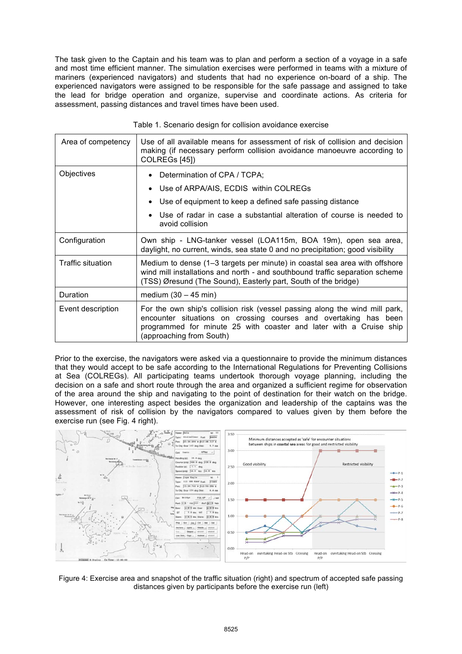The task given to the Captain and his team was to plan and perform a section of a voyage in a safe and most time efficient manner. The simulation exercises were performed in teams with a mixture of mariners (experienced navigators) and students that had no experience on-board of a ship. The experienced navigators were assigned to be responsible for the safe passage and assigned to take the lead for bridge operation and organize, supervise and coordinate actions. As criteria for assessment, passing distances and travel times have been used.

| Area of competency       | Use of all available means for assessment of risk of collision and decision<br>making (if necessary perform collision avoidance manoeuvre according to<br>COLREGS [45])                                                                           |
|--------------------------|---------------------------------------------------------------------------------------------------------------------------------------------------------------------------------------------------------------------------------------------------|
| Objectives               | Determination of CPA / TCPA;<br>$\bullet$                                                                                                                                                                                                         |
|                          | Use of ARPA/AIS, ECDIS within COLREGs<br>$\bullet$                                                                                                                                                                                                |
|                          | Use of equipment to keep a defined safe passing distance<br>٠                                                                                                                                                                                     |
|                          | Use of radar in case a substantial alteration of course is needed to<br>٠<br>avoid collision                                                                                                                                                      |
| Configuration            | Own ship - LNG-tanker vessel (LOA115m, BOA 19m), open sea area,<br>daylight, no current, winds, sea state 0 and no precipitation; good visibility                                                                                                 |
| <b>Traffic situation</b> | Medium to dense (1–3 targets per minute) in coastal sea area with offshore<br>wind mill installations and north - and southbound traffic separation scheme<br>(TSS) Øresund (The Sound), Easterly part, South of the bridge)                      |
| Duration                 | medium $(30 - 45$ min)                                                                                                                                                                                                                            |
| Event description        | For the own ship's collision risk (vessel passing along the wind mill park,<br>encounter situations on crossing courses and overtaking has been<br>programmed for minute 25 with coaster and later with a Cruise ship<br>(approaching from South) |

Table 1. Scenario design for collision avoidance exercise

Prior to the exercise, the navigators were asked via a questionnaire to provide the minimum distances that they would accept to be safe according to the International Regulations for Preventing Collisions at Sea (COLREGs). All participating teams undertook thorough voyage planning, including the decision on a safe and short route through the area and organized a sufficient regime for observation of the area around the ship and navigating to the point of destination for their watch on the bridge. However, one interesting aspect besides the organization and leadership of the captains was the assessment of risk of collision by the navigators compared to values given by them before the exercise run (see Fig. 4 right).



Figure 4: Exercise area and snapshot of the traffic situation (right) and spectrum of accepted safe passing distances given by participants before the exercise run (left)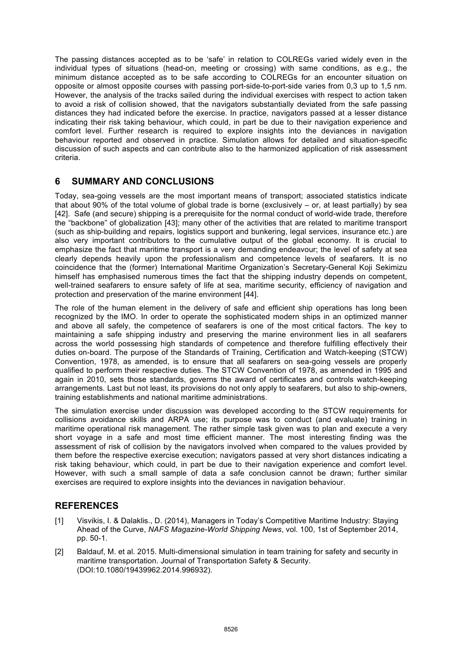The passing distances accepted as to be 'safe' in relation to COLREGs varied widely even in the individual types of situations (head-on, meeting or crossing) with same conditions, as e.g., the minimum distance accepted as to be safe according to COLREGs for an encounter situation on opposite or almost opposite courses with passing port-side-to-port-side varies from 0,3 up to 1,5 nm. However, the analysis of the tracks sailed during the individual exercises with respect to action taken to avoid a risk of collision showed, that the navigators substantially deviated from the safe passing distances they had indicated before the exercise. In practice, navigators passed at a lesser distance indicating their risk taking behaviour, which could, in part be due to their navigation experience and comfort level. Further research is required to explore insights into the deviances in navigation behaviour reported and observed in practice. Simulation allows for detailed and situation-specific discussion of such aspects and can contribute also to the harmonized application of risk assessment criteria.

#### **6 SUMMARY AND CONCLUSIONS**

Today, sea-going vessels are the most important means of transport; associated statistics indicate that about 90% of the total volume of global trade is borne (exclusively – or, at least partially) by sea [42]. Safe (and secure) shipping is a prerequisite for the normal conduct of world-wide trade, therefore the "backbone" of globalization [43]; many other of the activities that are related to maritime transport (such as ship-building and repairs, logistics support and bunkering, legal services, insurance etc.) are also very important contributors to the cumulative output of the global economy. It is crucial to emphasize the fact that maritime transport is a very demanding endeavour; the level of safety at sea clearly depends heavily upon the professionalism and competence levels of seafarers. It is no coincidence that the (former) International Maritime Organization's Secretary-General Koji Sekimizu himself has emphasised numerous times the fact that the shipping industry depends on competent, well-trained seafarers to ensure safety of life at sea, maritime security, efficiency of navigation and protection and preservation of the marine environment [44].

The role of the human element in the delivery of safe and efficient ship operations has long been recognized by the IMO. In order to operate the sophisticated modern ships in an optimized manner and above all safely, the competence of seafarers is one of the most critical factors. The key to maintaining a safe shipping industry and preserving the marine environment lies in all seafarers across the world possessing high standards of competence and therefore fulfilling effectively their duties on-board. The purpose of the Standards of Training, Certification and Watch-keeping (STCW) Convention, 1978, as amended, is to ensure that all seafarers on sea-going vessels are properly qualified to perform their respective duties. The STCW Convention of 1978, as amended in 1995 and again in 2010, sets those standards, governs the award of certificates and controls watch-keeping arrangements. Last but not least, its provisions do not only apply to seafarers, but also to ship-owners, training establishments and national maritime administrations.

The simulation exercise under discussion was developed according to the STCW requirements for collisions avoidance skills and ARPA use; its purpose was to conduct (and evaluate) training in maritime operational risk management. The rather simple task given was to plan and execute a very short voyage in a safe and most time efficient manner. The most interesting finding was the assessment of risk of collision by the navigators involved when compared to the values provided by them before the respective exercise execution; navigators passed at very short distances indicating a risk taking behaviour, which could, in part be due to their navigation experience and comfort level. However, with such a small sample of data a safe conclusion cannot be drawn; further similar exercises are required to explore insights into the deviances in navigation behaviour.

## **REFERENCES**

- [1] Visvikis, I. & Dalaklis., D. (2014), Managers in Today's Competitive Maritime Industry: Staying Ahead of the Curve, *NAFS Magazine-World Shipping News*, vol. 100, 1st of September 2014, pp. 50-1.
- [2] Baldauf, M. et al. 2015. Multi-dimensional simulation in team training for safety and security in maritime transportation. Journal of Transportation Safety & Security. (DOI:10.1080/19439962.2014.996932).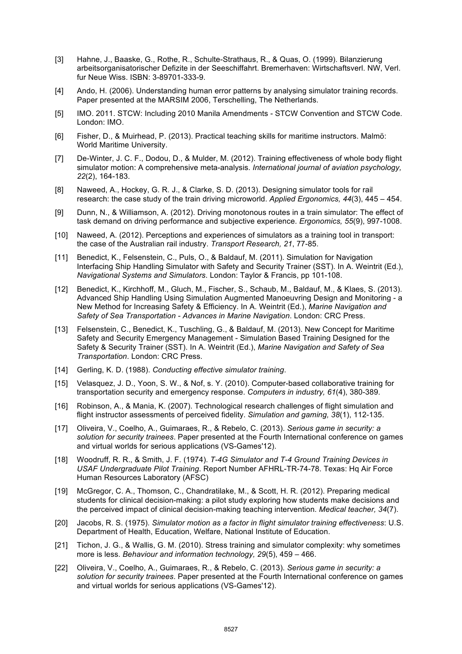- [3] Hahne, J., Baaske, G., Rothe, R., Schulte-Strathaus, R., & Quas, O. (1999). Bilanzierung arbeitsorganisatorischer Defizite in der Seeschiffahrt. Bremerhaven: Wirtschaftsverl. NW, Verl. fur Neue Wiss. ISBN: 3-89701-333-9.
- [4] Ando, H. (2006). Understanding human error patterns by analysing simulator training records. Paper presented at the MARSIM 2006, Terschelling, The Netherlands.
- [5] IMO. 2011. STCW: Including 2010 Manila Amendments STCW Convention and STCW Code. London: IMO.
- [6] Fisher, D., & Muirhead, P. (2013). Practical teaching skills for maritime instructors. Malmö: World Maritime University.
- [7] De-Winter, J. C. F., Dodou, D., & Mulder, M. (2012). Training effectiveness of whole body flight simulator motion: A comprehensive meta-analysis. *International journal of aviation psychology, 22*(2), 164-183.
- [8] Naweed, A., Hockey, G. R. J., & Clarke, S. D. (2013). Designing simulator tools for rail research: the case study of the train driving microworld. *Applied Ergonomics, 44*(3), 445 – 454.
- [9] Dunn, N., & Williamson, A. (2012). Driving monotonous routes in a train simulator: The effect of task demand on driving performance and subjective experience. *Ergonomics, 55*(9), 997-1008.
- [10] Naweed, A. (2012). Perceptions and experiences of simulators as a training tool in transport: the case of the Australian rail industry. *Transport Research, 21*, 77-85.
- [11] Benedict, K., Felsenstein, C., Puls, O., & Baldauf, M. (2011). Simulation for Navigation Interfacing Ship Handling Simulator with Safety and Security Trainer (SST). In A. Weintrit (Ed.), *Navigational Systems and Simulators*. London: Taylor & Francis, pp 101-108.
- [12] Benedict, K., Kirchhoff, M., Gluch, M., Fischer, S., Schaub, M., Baldauf, M., & Klaes, S. (2013). Advanced Ship Handling Using Simulation Augmented Manoeuvring Design and Monitoring - a New Method for Increasing Safety & Efficiency. In A. Weintrit (Ed.), *Marine Navigation and Safety of Sea Transportation - Advances in Marine Navigation*. London: CRC Press.
- [13] Felsenstein, C., Benedict, K., Tuschling, G., & Baldauf, M. (2013). New Concept for Maritime Safety and Security Emergency Management - Simulation Based Training Designed for the Safety & Security Trainer (SST). In A. Weintrit (Ed.), *Marine Navigation and Safety of Sea Transportation*. London: CRC Press.
- [14] Gerling, K. D. (1988). *Conducting effective simulator training*.
- [15] Velasquez, J. D., Yoon, S. W., & Nof, s. Y. (2010). Computer-based collaborative training for transportation security and emergency response. *Computers in industry, 61*(4), 380-389.
- [16] Robinson, A., & Mania, K. (2007). Technological research challenges of flight simulation and flight instructor assessments of perceived fidelity. *Simulation and gaming, 38*(1), 112-135.
- [17] Oliveira, V., Coelho, A., Guimaraes, R., & Rebelo, C. (2013). *Serious game in security: a solution for security trainees*. Paper presented at the Fourth International conference on games and virtual worlds for serious applications (VS-Games'12).
- [18] Woodruff, R. R., & Smith, J. F. (1974). *T-4G Simulator and T-4 Ground Training Devices in USAF Undergraduate Pilot Training*. Report Number AFHRL-TR-74-78. Texas: Hq Air Force Human Resources Laboratory (AFSC)
- [19] McGregor, C. A., Thomson, C., Chandratilake, M., & Scott, H. R. (2012). Preparing medical students for clinical decision-making: a pilot study exploring how students make decisions and the perceived impact of clinical decision-making teaching intervention. *Medical teacher, 34*(7).
- [20] Jacobs, R. S. (1975). *Simulator motion as a factor in flight simulator training effectiveness*: U.S. Department of Health, Education, Welfare, National Institute of Education.
- [21] Tichon, J. G., & Wallis, G. M. (2010). Stress training and simulator complexity: why sometimes more is less. *Behaviour and information technology, 29*(5), 459 – 466.
- [22] Oliveira, V., Coelho, A., Guimaraes, R., & Rebelo, C. (2013). *Serious game in security: a solution for security trainees*. Paper presented at the Fourth International conference on games and virtual worlds for serious applications (VS-Games'12).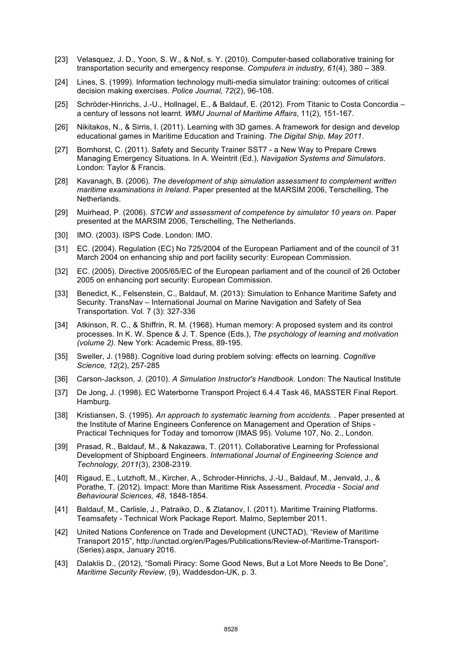- [23] Velasquez, J. D., Yoon, S. W., & Nof, s. Y. (2010). Computer-based collaborative training for transportation security and emergency response. *Computers in industry, 61*(4), 380 – 389.
- [24] Lines, S. (1999). Information technology multi-media simulator training: outcomes of critical decision making exercises. *Police Journal, 72*(2), 96-108.
- [25] Schröder-Hinrichs, J.-U., Hollnagel, E., & Baldauf, E. (2012). From Titanic to Costa Concordia a century of lessons not learnt. *WMU Journal of Maritime Affairs*, 11(2), 151-167.
- [26] Nikitakos, N., & Sirris, I. (2011). Learning with 3D games. A framework for design and develop educational games in Maritime Education and Training. *The Digital Ship, May 2011*.
- [27] Bornhorst, C. (2011). Safety and Security Trainer SST7 a New Way to Prepare Crews Managing Emergency Situations. In A. Weintrit (Ed.), *Navigation Systems and Simulators*. London: Taylor & Francis.
- [28] Kavanagh, B. (2006). *The development of ship simulation assessment to complement written maritime examinations in Ireland*. Paper presented at the MARSIM 2006, Terschelling, The Netherlands.
- [29] Muirhead, P. (2006). *STCW and assessment of competence by simulator 10 years on*. Paper presented at the MARSIM 2006, Terschelling, The Netherlands.
- [30] IMO. (2003). ISPS Code. London: IMO.
- [31] EC. (2004). Regulation (EC) No 725/2004 of the European Parliament and of the council of 31 March 2004 on enhancing ship and port facility security: European Commission.
- [32] EC. (2005). Directive 2005/65/EC of the European parliament and of the council of 26 October 2005 on enhancing port security: European Commission.
- [33] Benedict, K., Felsenstein, C., Baldauf, M. (2013): Simulation to Enhance Maritime Safety and Security. TransNav – International Journal on Marine Navigation and Safety of Sea Transportation. Vol. 7 (3): 327-336
- [34] Atkinson, R. C., & Shiffrin, R. M. (1968). Human memory: A proposed system and its control processes. In K. W. Spence & J. T. Spence (Eds.), *The psychology of learning and motivation (volume 2)*. New York: Academic Press, 89-195.
- [35] Sweller, J. (1988). Cognitive load during problem solving: effects on learning. *Cognitive Science, 12*(2), 257-285
- [36] Carson-Jackson, J. (2010). *A Simulation Instructor's Handbook*. London: The Nautical Institute
- [37] De Jong, J. (1998). EC Waterborne Transport Project 6.4.4 Task 46, MASSTER Final Report. Hamburg.
- [38] Kristiansen, S. (1995). *An approach to systematic learning from accidents. .* Paper presented at the Institute of Marine Engineers Conference on Management and Operation of Ships - Practical Techniques for Today and tomorrow (IMAS 95). Volume 107, No. 2., London.
- [39] Prasad, R., Baldauf, M., & Nakazawa, T. (2011). Collaborative Learning for Professional Development of Shipboard Engineers. *International Journal of Engineering Science and Technology, 2011*(3), 2308-2319.
- [40] Rigaud, E., Lutzhoft, M., Kircher, A., Schroder-Hinrichs, J.-U., Baldauf, M., Jenvald, J., & Porathe, T. (2012). Impact: More than Maritime Risk Assessment. *Procedia - Social and Behavioural Sciences, 48*, 1848-1854.
- [41] Baldauf, M., Carlisle, J., Patraiko, D., & Zlatanov, I. (2011). Maritime Training Platforms. Teamsafety - Technical Work Package Report. Malmo, September 2011.
- [42] United Nations Conference on Trade and Development (UNCTAD), "Review of Maritime Transport 2015", http://unctad.org/en/Pages/Publications/Review-of-Maritime-Transport- (Series).aspx, January 2016.
- [43] Dalaklis D., (2012), "Somali Piracy: Some Good News, But a Lot More Needs to Be Done", *Maritime Security Review*, (9), Waddesdon-UK, p. 3.